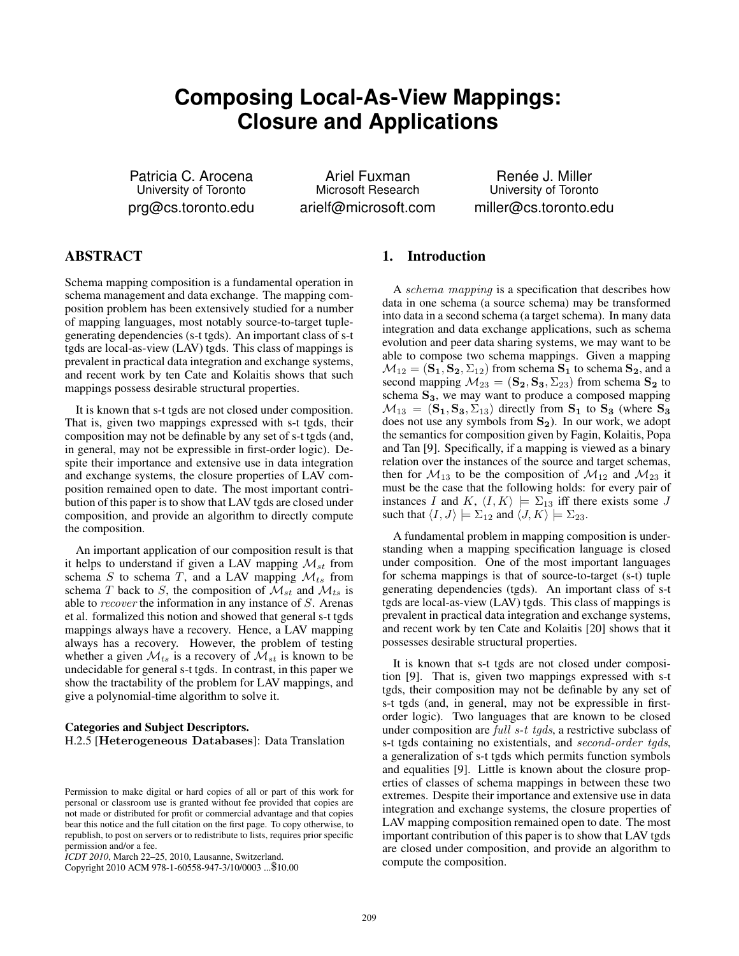# **Composing Local-As-View Mappings: Closure and Applications**

Patricia C. Arocena University of Toronto prg@cs.toronto.edu

Ariel Fuxman Microsoft Research arielf@microsoft.com

Renée J. Miller University of Toronto miller@cs.toronto.edu

# ABSTRACT

Schema mapping composition is a fundamental operation in schema management and data exchange. The mapping composition problem has been extensively studied for a number of mapping languages, most notably source-to-target tuplegenerating dependencies (s-t tgds). An important class of s-t tgds are local-as-view (LAV) tgds. This class of mappings is prevalent in practical data integration and exchange systems, and recent work by ten Cate and Kolaitis shows that such mappings possess desirable structural properties.

It is known that s-t tgds are not closed under composition. That is, given two mappings expressed with s-t tgds, their composition may not be definable by any set of s-t tgds (and, in general, may not be expressible in first-order logic). Despite their importance and extensive use in data integration and exchange systems, the closure properties of LAV composition remained open to date. The most important contribution of this paper is to show that LAV tgds are closed under composition, and provide an algorithm to directly compute the composition.

An important application of our composition result is that it helps to understand if given a LAV mapping  $\mathcal{M}_{st}$  from schema S to schema T, and a LAV mapping  $\mathcal{M}_{ts}$  from schema T back to S, the composition of  $\mathcal{M}_{st}$  and  $\mathcal{M}_{ts}$  is able to recover the information in any instance of S. Arenas et al. formalized this notion and showed that general s-t tgds mappings always have a recovery. Hence, a LAV mapping always has a recovery. However, the problem of testing whether a given  $\mathcal{M}_{ts}$  is a recovery of  $\mathcal{M}_{st}$  is known to be undecidable for general s-t tgds. In contrast, in this paper we show the tractability of the problem for LAV mappings, and give a polynomial-time algorithm to solve it.

### Categories and Subject Descriptors. H.2.5 [Heterogeneous Databases]: Data Translation

Copyright 2010 ACM 978-1-60558-947-3/10/0003 ...\$10.00

### 1. Introduction

A schema mapping is a specification that describes how data in one schema (a source schema) may be transformed into data in a second schema (a target schema). In many data integration and data exchange applications, such as schema evolution and peer data sharing systems, we may want to be able to compose two schema mappings. Given a mapping  $\mathcal{M}_{12} = (\mathbf{S}_1, \mathbf{S}_2, \Sigma_{12})$  from schema  $\mathbf{S}_1$  to schema  $\mathbf{S}_2$ , and a second mapping  $M_{23} = (\mathbf{S_2}, \mathbf{S_3}, \Sigma_{23})$  from schema  $\mathbf{S_2}$  to schema  $S_3$ , we may want to produce a composed mapping  $M_{13} = (S_1, S_3, \Sigma_{13})$  directly from  $S_1$  to  $S_3$  (where  $S_3$ ) does not use any symbols from  $S_2$ ). In our work, we adopt the semantics for composition given by Fagin, Kolaitis, Popa and Tan [9]. Specifically, if a mapping is viewed as a binary relation over the instances of the source and target schemas, then for  $M_{13}$  to be the composition of  $M_{12}$  and  $M_{23}$  it must be the case that the following holds: for every pair of instances I and K,  $\langle I, K \rangle \models \Sigma_{13}$  iff there exists some J such that  $\langle I, J \rangle \models \Sigma_{12}$  and  $\langle J, K \rangle \models \Sigma_{23}$ .

A fundamental problem in mapping composition is understanding when a mapping specification language is closed under composition. One of the most important languages for schema mappings is that of source-to-target (s-t) tuple generating dependencies (tgds). An important class of s-t tgds are local-as-view (LAV) tgds. This class of mappings is prevalent in practical data integration and exchange systems, and recent work by ten Cate and Kolaitis [20] shows that it possesses desirable structural properties.

It is known that s-t tgds are not closed under composition [9]. That is, given two mappings expressed with s-t tgds, their composition may not be definable by any set of s-t tgds (and, in general, may not be expressible in firstorder logic). Two languages that are known to be closed under composition are *full s-t tgds*, a restrictive subclass of s-t tgds containing no existentials, and second-order tgds, a generalization of s-t tgds which permits function symbols and equalities [9]. Little is known about the closure properties of classes of schema mappings in between these two extremes. Despite their importance and extensive use in data integration and exchange systems, the closure properties of LAV mapping composition remained open to date. The most important contribution of this paper is to show that LAV tgds are closed under composition, and provide an algorithm to compute the composition.

Permission to make digital or hard copies of all or part of this work for personal or classroom use is granted without fee provided that copies are not made or distributed for profit or commercial advantage and that copies bear this notice and the full citation on the first page. To copy otherwise, to republish, to post on servers or to redistribute to lists, requires prior specific permission and/or a fee.

*ICDT 2010*, March 22–25, 2010, Lausanne, Switzerland.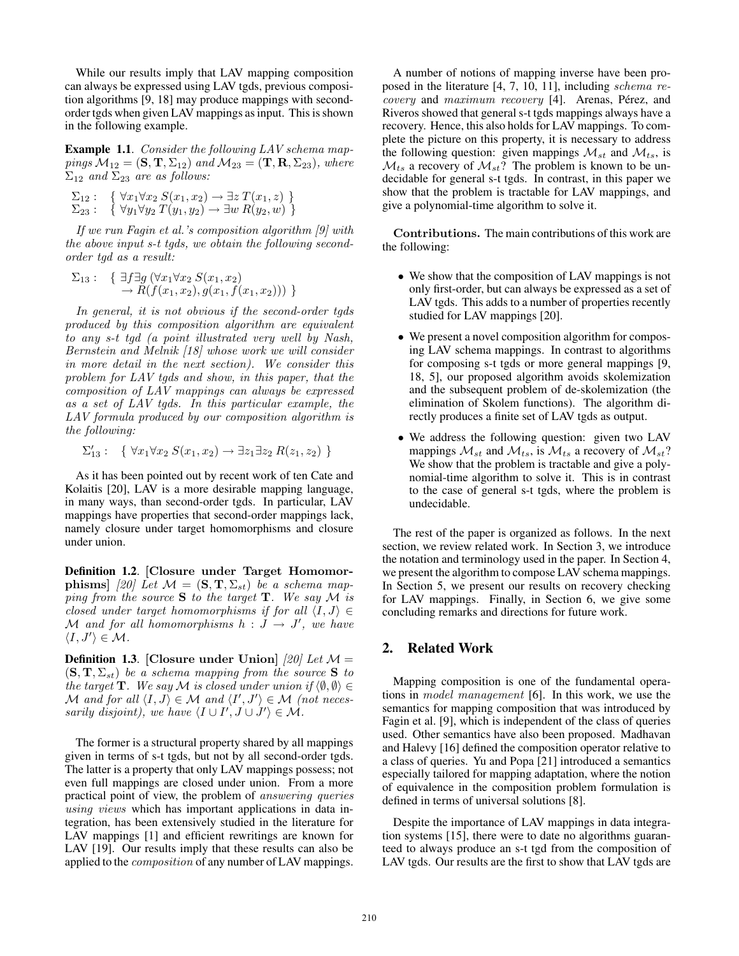While our results imply that LAV mapping composition can always be expressed using LAV tgds, previous composition algorithms [9, 18] may produce mappings with secondorder tgds when given LAV mappings as input. This is shown in the following example.

**Example 1.1**. Consider the following LAV schema mappings  $\mathcal{M}_{12} = (\mathbf{S}, \mathbf{T}, \Sigma_{12})$  and  $\mathcal{M}_{23} = (\mathbf{T}, \mathbf{R}, \Sigma_{23})$ , where  $\Sigma_{12}$  and  $\Sigma_{23}$  are as follows:

 $\Sigma_{12}$ : {  $\forall x_1 \forall x_2 S(x_1, x_2) \rightarrow \exists z T(x_1, z)$  }  $\Sigma_{23}$ : {  $\forall y_1 \forall y_2 \ T(y_1, y_2) \rightarrow \exists w \ R(y_2, w)$  }

If we run Fagin et al.'s composition algorithm [9] with the above input s-t tgds, we obtain the following secondorder tgd as a result:

$$
\Sigma_{13}: \quad \{ \exists f \exists g \left( \forall x_1 \forall x_2 \ S(x_1, x_2) \right. \\ \quad \rightarrow R(f(x_1, x_2), g(x_1, f(x_1, x_2))) \ \}
$$

In general, it is not obvious if the second-order tgds produced by this composition algorithm are equivalent to any s-t tgd (a point illustrated very well by Nash, Bernstein and Melnik [18] whose work we will consider in more detail in the next section). We consider this problem for LAV tgds and show, in this paper, that the composition of LAV mappings can always be expressed as a set of LAV tgds. In this particular example, the LAV formula produced by our composition algorithm is the following:

$$
\Sigma'_{13}:\ \{\ \forall x_1\forall x_2\ S(x_1,x_2)\rightarrow \exists z_1\exists z_2\ R(z_1,z_2)\ \}
$$

As it has been pointed out by recent work of ten Cate and Kolaitis [20], LAV is a more desirable mapping language, in many ways, than second-order tgds. In particular, LAV mappings have properties that second-order mappings lack, namely closure under target homomorphisms and closure under union.

Definition 1.2. [Closure under Target Homomor**phisms**] [20] Let  $\mathcal{M} = (\mathbf{S}, \mathbf{T}, \Sigma_{st})$  be a schema mapping from the source  $S$  to the target  $T$ . We say  $M$  is closed under target homomorphisms if for all  $\langle I, J \rangle \in$ M and for all homomorphisms  $h: J \rightarrow J'$ , we have  $\langle I, J' \rangle \in \mathcal{M}.$ 

**Definition 1.3.** [Closure under Union] [20] Let  $\mathcal{M} =$  $(\mathbf{S}, \mathbf{T}, \Sigma_{st})$  be a schema mapping from the source S to the target **T**. We say M is closed under union if  $\langle \emptyset, \emptyset \rangle \in$ M and for all  $\langle I, J \rangle \in \mathcal{M}$  and  $\langle I', J' \rangle \in \mathcal{M}$  (not necessarily disjoint), we have  $\langle I \cup I', J \cup J' \rangle \in \mathcal{M}$ .

The former is a structural property shared by all mappings given in terms of s-t tgds, but not by all second-order tgds. The latter is a property that only LAV mappings possess; not even full mappings are closed under union. From a more practical point of view, the problem of answering queries using views which has important applications in data integration, has been extensively studied in the literature for LAV mappings [1] and efficient rewritings are known for LAV [19]. Our results imply that these results can also be applied to the composition of any number of LAV mappings.

A number of notions of mapping inverse have been proposed in the literature [4, 7, 10, 11], including schema re $covery$  and  $maximum$   $recovery$  [4]. Arenas, Pérez, and Riveros showed that general s-t tgds mappings always have a recovery. Hence, this also holds for LAV mappings. To complete the picture on this property, it is necessary to address the following question: given mappings  $\mathcal{M}_{st}$  and  $\mathcal{M}_{ts}$ , is  $\mathcal{M}_{ts}$  a recovery of  $\mathcal{M}_{st}$ ? The problem is known to be undecidable for general s-t tgds. In contrast, in this paper we show that the problem is tractable for LAV mappings, and give a polynomial-time algorithm to solve it.

Contributions. The main contributions of this work are the following:

- We show that the composition of LAV mappings is not only first-order, but can always be expressed as a set of LAV tgds. This adds to a number of properties recently studied for LAV mappings [20].
- We present a novel composition algorithm for composing LAV schema mappings. In contrast to algorithms for composing s-t tgds or more general mappings [9, 18, 5], our proposed algorithm avoids skolemization and the subsequent problem of de-skolemization (the elimination of Skolem functions). The algorithm directly produces a finite set of LAV tgds as output.
- We address the following question: given two LAV mappings  $\mathcal{M}_{st}$  and  $\mathcal{M}_{ts}$ , is  $\mathcal{M}_{ts}$  a recovery of  $\mathcal{M}_{st}$ ? We show that the problem is tractable and give a polynomial-time algorithm to solve it. This is in contrast to the case of general s-t tgds, where the problem is undecidable.

The rest of the paper is organized as follows. In the next section, we review related work. In Section 3, we introduce the notation and terminology used in the paper. In Section 4, we present the algorithm to compose LAV schema mappings. In Section 5, we present our results on recovery checking for LAV mappings. Finally, in Section 6, we give some concluding remarks and directions for future work.

### 2. Related Work

Mapping composition is one of the fundamental operations in model management [6]. In this work, we use the semantics for mapping composition that was introduced by Fagin et al. [9], which is independent of the class of queries used. Other semantics have also been proposed. Madhavan and Halevy [16] defined the composition operator relative to a class of queries. Yu and Popa [21] introduced a semantics especially tailored for mapping adaptation, where the notion of equivalence in the composition problem formulation is defined in terms of universal solutions [8].

Despite the importance of LAV mappings in data integration systems [15], there were to date no algorithms guaranteed to always produce an s-t tgd from the composition of LAV tgds. Our results are the first to show that LAV tgds are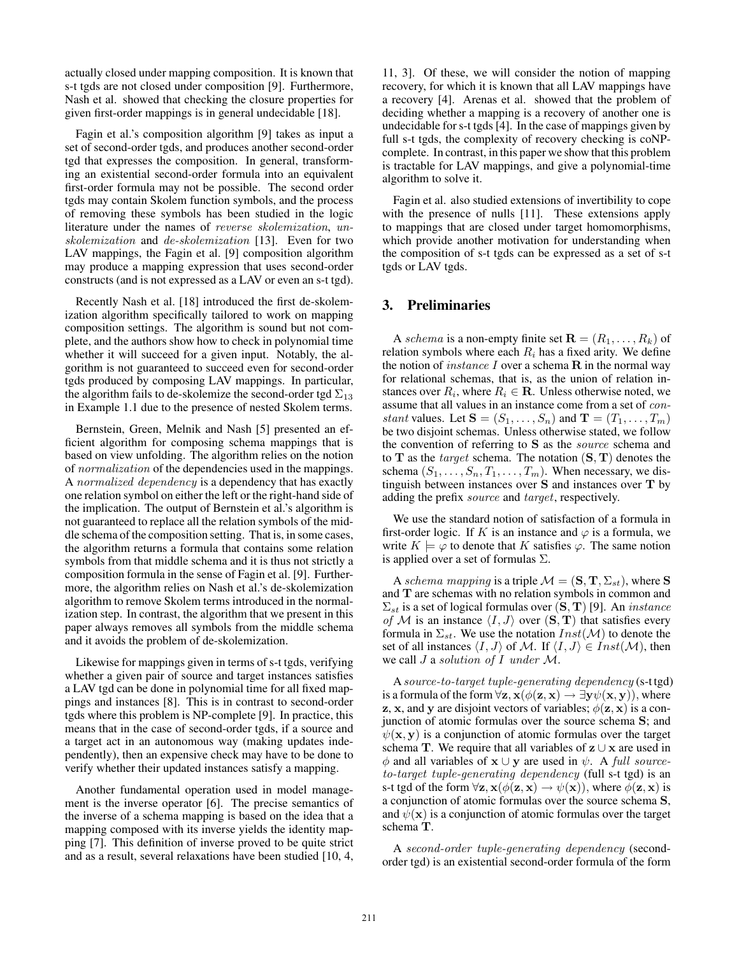actually closed under mapping composition. It is known that s-t tgds are not closed under composition [9]. Furthermore, Nash et al. showed that checking the closure properties for given first-order mappings is in general undecidable [18].

Fagin et al.'s composition algorithm [9] takes as input a set of second-order tgds, and produces another second-order tgd that expresses the composition. In general, transforming an existential second-order formula into an equivalent first-order formula may not be possible. The second order tgds may contain Skolem function symbols, and the process of removing these symbols has been studied in the logic literature under the names of reverse skolemization, unskolemization and de-skolemization [13]. Even for two LAV mappings, the Fagin et al. [9] composition algorithm may produce a mapping expression that uses second-order constructs (and is not expressed as a LAV or even an s-t tgd).

Recently Nash et al. [18] introduced the first de-skolemization algorithm specifically tailored to work on mapping composition settings. The algorithm is sound but not complete, and the authors show how to check in polynomial time whether it will succeed for a given input. Notably, the algorithm is not guaranteed to succeed even for second-order tgds produced by composing LAV mappings. In particular, the algorithm fails to de-skolemize the second-order tgd  $\Sigma_{13}$ in Example 1.1 due to the presence of nested Skolem terms.

Bernstein, Green, Melnik and Nash [5] presented an efficient algorithm for composing schema mappings that is based on view unfolding. The algorithm relies on the notion of normalization of the dependencies used in the mappings. A normalized dependency is a dependency that has exactly one relation symbol on either the left or the right-hand side of the implication. The output of Bernstein et al.'s algorithm is not guaranteed to replace all the relation symbols of the middle schema of the composition setting. That is, in some cases, the algorithm returns a formula that contains some relation symbols from that middle schema and it is thus not strictly a composition formula in the sense of Fagin et al. [9]. Furthermore, the algorithm relies on Nash et al.'s de-skolemization algorithm to remove Skolem terms introduced in the normalization step. In contrast, the algorithm that we present in this paper always removes all symbols from the middle schema and it avoids the problem of de-skolemization.

Likewise for mappings given in terms of s-t tgds, verifying whether a given pair of source and target instances satisfies a LAV tgd can be done in polynomial time for all fixed mappings and instances [8]. This is in contrast to second-order tgds where this problem is NP-complete [9]. In practice, this means that in the case of second-order tgds, if a source and a target act in an autonomous way (making updates independently), then an expensive check may have to be done to verify whether their updated instances satisfy a mapping.

Another fundamental operation used in model management is the inverse operator [6]. The precise semantics of the inverse of a schema mapping is based on the idea that a mapping composed with its inverse yields the identity mapping [7]. This definition of inverse proved to be quite strict and as a result, several relaxations have been studied [10, 4,

11, 3]. Of these, we will consider the notion of mapping recovery, for which it is known that all LAV mappings have a recovery [4]. Arenas et al. showed that the problem of deciding whether a mapping is a recovery of another one is undecidable for s-t tgds [4]. In the case of mappings given by full s-t tgds, the complexity of recovery checking is coNPcomplete. In contrast, in this paper we show that this problem is tractable for LAV mappings, and give a polynomial-time algorithm to solve it.

Fagin et al. also studied extensions of invertibility to cope with the presence of nulls [11]. These extensions apply to mappings that are closed under target homomorphisms, which provide another motivation for understanding when the composition of s-t tgds can be expressed as a set of s-t tgds or LAV tgds.

# 3. Preliminaries

A schema is a non-empty finite set  $\mathbf{R} = (R_1, \dots, R_k)$  of relation symbols where each  $R_i$  has a fixed arity. We define the notion of *instance I* over a schema  $\bf{R}$  in the normal way for relational schemas, that is, as the union of relation instances over  $R_i$ , where  $R_i \in \mathbf{R}$ . Unless otherwise noted, we assume that all values in an instance come from a set of constant values. Let  $S = (S_1, \ldots, S_n)$  and  $\mathbf{T} = (T_1, \ldots, T_m)$ be two disjoint schemas. Unless otherwise stated, we follow the convention of referring to S as the source schema and to  $T$  as the *target* schema. The notation  $(S, T)$  denotes the schema  $(S_1, \ldots, S_n, T_1, \ldots, T_m)$ . When necessary, we distinguish between instances over S and instances over T by adding the prefix source and target, respectively.

We use the standard notion of satisfaction of a formula in first-order logic. If K is an instance and  $\varphi$  is a formula, we write  $K \models \varphi$  to denote that K satisfies  $\varphi$ . The same notion is applied over a set of formulas  $\Sigma$ .

A schema mapping is a triple  $\mathcal{M} = (\mathbf{S}, \mathbf{T}, \Sigma_{st})$ , where S and T are schemas with no relation symbols in common and  $\Sigma_{st}$  is a set of logical formulas over  $(\mathbf{S}, \mathbf{T})$  [9]. An *instance* of M is an instance  $\langle I, J \rangle$  over  $(\mathbf{S}, \mathbf{T})$  that satisfies every formula in  $\Sigma_{st}$ . We use the notation  $Inst(\mathcal{M})$  to denote the set of all instances  $\langle I, J \rangle$  of M. If  $\langle I, J \rangle \in Inst(\mathcal{M})$ , then we call J a solution of I under M.

A source-to-target tuple-generating dependency (s-t tgd) is a formula of the form  $\forall z$ ,  $x(\phi(z, x) \rightarrow \exists y \psi(x, y))$ , where **z**, **x**, and **y** are disjoint vectors of variables;  $\phi(\mathbf{z}, \mathbf{x})$  is a conjunction of atomic formulas over the source schema S; and  $\psi(\mathbf{x}, \mathbf{y})$  is a conjunction of atomic formulas over the target schema T. We require that all variables of  $z \cup x$  are used in  $\phi$  and all variables of **x** ∪ **y** are used in  $\psi$ . A full sourceto-target tuple-generating dependency (full s-t tgd) is an s-t tgd of the form  $\forall z$ ,  $x(\phi(z, x) \rightarrow \psi(x))$ , where  $\phi(z, x)$  is a conjunction of atomic formulas over the source schema S, and  $\psi(\mathbf{x})$  is a conjunction of atomic formulas over the target schema T.

A second-order tuple-generating dependency (secondorder tgd) is an existential second-order formula of the form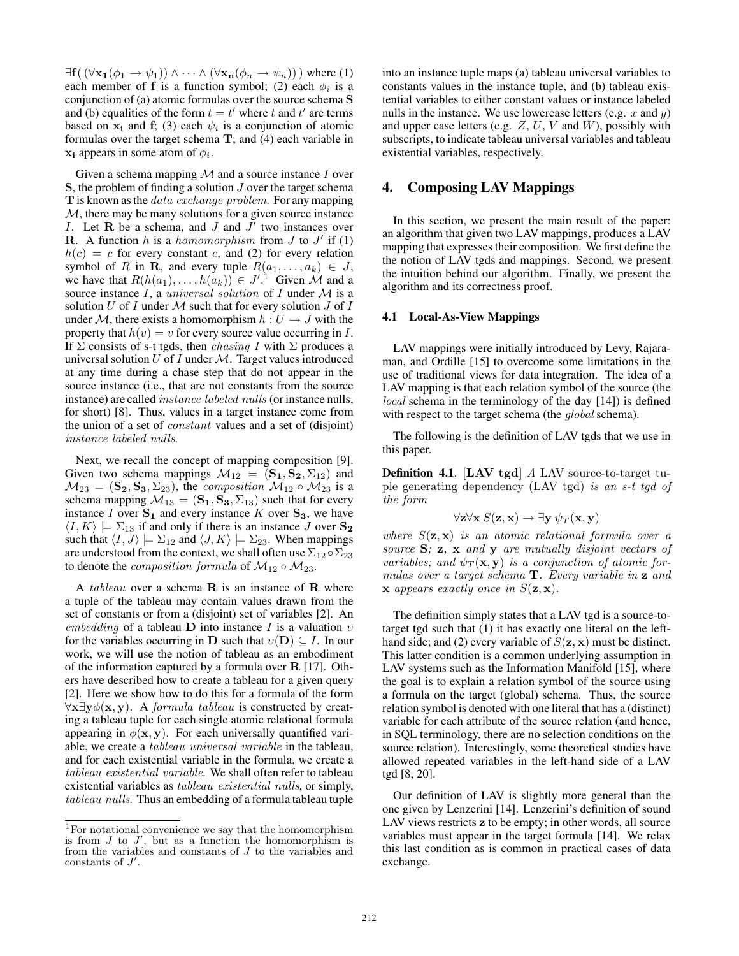$\exists$ **f**( $(\forall$ **x**<sub>1</sub>( $\phi$ <sub>1</sub> $\rightarrow \psi$ <sub>1</sub>))  $\land \cdots \land (\forall$ **x**<sub>n</sub>( $\phi$ <sub>n</sub> $\rightarrow \psi$ <sub>n</sub>))) where (1) each member of **f** is a function symbol; (2) each  $\phi_i$  is a conjunction of (a) atomic formulas over the source schema S and (b) equalities of the form  $t = t'$  where t and t' are terms based on  $x_i$  and f; (3) each  $\psi_i$  is a conjunction of atomic formulas over the target schema  $T$ ; and (4) each variable in  $x_i$  appears in some atom of  $\phi_i$ .

Given a schema mapping  $M$  and a source instance I over S, the problem of finding a solution J over the target schema T is known as the *data exchange problem*. For any mapping  $M$ , there may be many solutions for a given source instance I. Let R be a schema, and J and  $J'$  two instances over **R**. A function h is a homomorphism from  $J$  to  $J'$  if (1)  $h(c) = c$  for every constant c, and (2) for every relation symbol of R in R, and every tuple  $R(a_1, \ldots, a_k) \in J$ , we have that  $R(h(a_1),...,h(a_k)) \in J'.^1$  Given M and a source instance  $I$ , a *universal solution* of  $I$  under  $M$  is a solution  $U$  of  $I$  under  $M$  such that for every solution  $J$  of  $I$ under M, there exists a homomorphism  $h: U \rightarrow J$  with the property that  $h(v) = v$  for every source value occurring in I. If  $\Sigma$  consists of s-t tgds, then *chasing I* with  $\Sigma$  produces a universal solution  $U$  of  $I$  under  $M$ . Target values introduced at any time during a chase step that do not appear in the source instance (i.e., that are not constants from the source instance) are called instance labeled nulls (or instance nulls, for short) [8]. Thus, values in a target instance come from the union of a set of constant values and a set of (disjoint) instance labeled nulls.

Next, we recall the concept of mapping composition [9]. Given two schema mappings  $\mathcal{M}_{12} = (\mathbf{S}_1, \mathbf{S}_2, \Sigma_{12})$  and  $M_{23} = (\mathbf{S_2}, \mathbf{S_3}, \Sigma_{23})$ , the *composition*  $M_{12} \circ M_{23}$  is a schema mapping  $\mathcal{M}_{13} = (\mathbf{S}_1, \mathbf{S}_3, \Sigma_{13})$  such that for every instance I over  $S_1$  and every instance K over  $S_3$ , we have  $\langle I, K \rangle \models \Sigma_{13}$  if and only if there is an instance J over  $\mathbf{S_2}$ such that  $\langle I, J \rangle \models \Sigma_{12}$  and  $\langle J, K \rangle \models \Sigma_{23}$ . When mappings are understood from the context, we shall often use  $\Sigma_{12} \circ \Sigma_{23}$ to denote the *composition formula* of  $M_{12} \circ M_{23}$ .

A tableau over a schema  $\bf{R}$  is an instance of  $\bf{R}$  where a tuple of the tableau may contain values drawn from the set of constants or from a (disjoint) set of variables [2]. An embedding of a tableau D into instance I is a valuation  $v$ for the variables occurring in D such that  $v(D) \subseteq I$ . In our work, we will use the notion of tableau as an embodiment of the information captured by a formula over  $R$  [17]. Others have described how to create a tableau for a given query [2]. Here we show how to do this for a formula of the form  $\forall x \exists y \phi(x, y)$ . A formula tableau is constructed by creating a tableau tuple for each single atomic relational formula appearing in  $\phi(\mathbf{x}, \mathbf{y})$ . For each universally quantified variable, we create a tableau universal variable in the tableau, and for each existential variable in the formula, we create a tableau existential variable. We shall often refer to tableau existential variables as tableau existential nulls, or simply, tableau nulls. Thus an embedding of a formula tableau tuple into an instance tuple maps (a) tableau universal variables to constants values in the instance tuple, and (b) tableau existential variables to either constant values or instance labeled nulls in the instance. We use lowercase letters (e.g.  $x$  and  $y$ ) and upper case letters (e.g.  $Z$ ,  $U$ ,  $V$  and  $W$ ), possibly with subscripts, to indicate tableau universal variables and tableau existential variables, respectively.

### 4. Composing LAV Mappings

In this section, we present the main result of the paper: an algorithm that given two LAV mappings, produces a LAV mapping that expresses their composition. We first define the the notion of LAV tgds and mappings. Second, we present the intuition behind our algorithm. Finally, we present the algorithm and its correctness proof.

#### 4.1 Local-As-View Mappings

LAV mappings were initially introduced by Levy, Rajaraman, and Ordille [15] to overcome some limitations in the use of traditional views for data integration. The idea of a LAV mapping is that each relation symbol of the source (the local schema in the terminology of the day [14]) is defined with respect to the target schema (the *global* schema).

The following is the definition of LAV tgds that we use in this paper.

Definition 4.1. [LAV tgd] A LAV source-to-target tuple generating dependency (LAV tgd) is an s-t tgd of the form

$$
\forall \mathbf{z} \forall \mathbf{x} \ S(\mathbf{z}, \mathbf{x}) \rightarrow \exists \mathbf{y} \ \psi_T(\mathbf{x}, \mathbf{y})
$$

where  $S(\mathbf{z}, \mathbf{x})$  is an atomic relational formula over a source  $S$ ;  $z$ ,  $x$  and  $y$  are mutually disjoint vectors of variables; and  $\psi_T(\mathbf{x}, \mathbf{y})$  is a conjunction of atomic formulas over a target schema T. Every variable in z and  $\bf{x}$  appears exactly once in  $S(\bf{z},\bf{x})$ .

The definition simply states that a LAV tgd is a source-totarget tgd such that (1) it has exactly one literal on the lefthand side; and (2) every variable of  $S(\mathbf{z}, \mathbf{x})$  must be distinct. This latter condition is a common underlying assumption in LAV systems such as the Information Manifold [15], where the goal is to explain a relation symbol of the source using a formula on the target (global) schema. Thus, the source relation symbol is denoted with one literal that has a (distinct) variable for each attribute of the source relation (and hence, in SQL terminology, there are no selection conditions on the source relation). Interestingly, some theoretical studies have allowed repeated variables in the left-hand side of a LAV tgd [8, 20].

Our definition of LAV is slightly more general than the one given by Lenzerini [14]. Lenzerini's definition of sound LAV views restricts z to be empty; in other words, all source variables must appear in the target formula [14]. We relax this last condition as is common in practical cases of data exchange.

 $^{\rm 1}$  For notational convenience we say that the homomorphism is from  $J$  to  $J'$ , but as a function the homomorphism is from the variables and constants of J to the variables and constants of  $J'$ .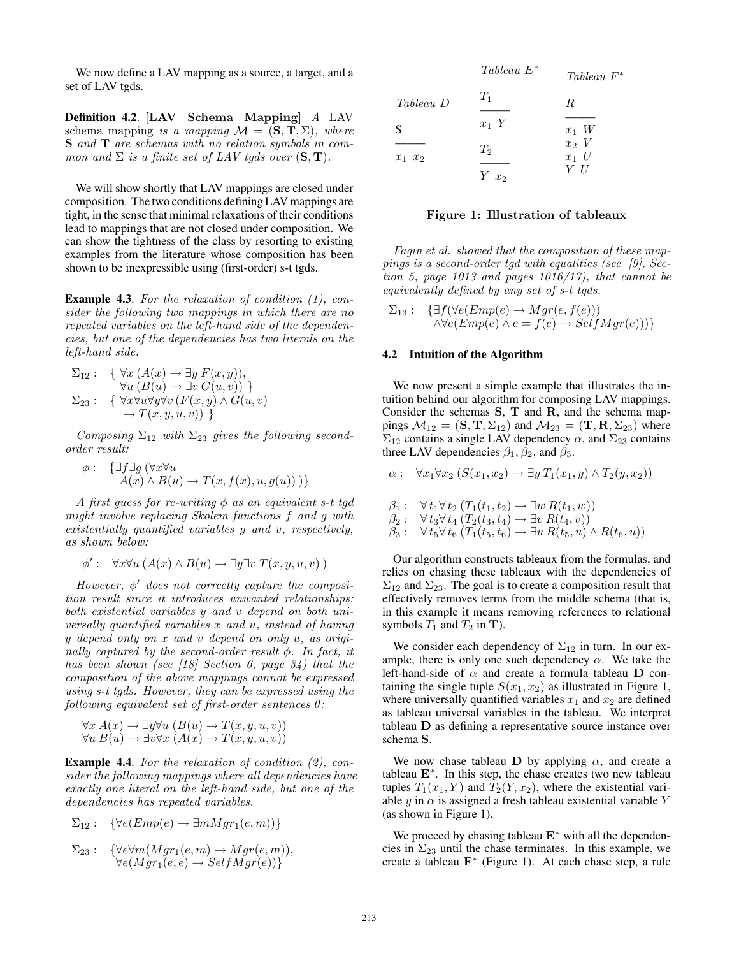We now define a LAV mapping as a source, a target, and a set of LAV tgds.

Definition 4.2. [LAV Schema Mapping] A LAV schema mapping is a mapping  $\mathcal{M} = (\mathbf{S}, \mathbf{T}, \Sigma)$ , where S and T are schemas with no relation symbols in common and  $\Sigma$  is a finite set of LAV tgds over  $(S, T)$ .

We will show shortly that LAV mappings are closed under composition. The two conditions defining LAV mappings are tight, in the sense that minimal relaxations of their conditions lead to mappings that are not closed under composition. We can show the tightness of the class by resorting to existing examples from the literature whose composition has been shown to be inexpressible using (first-order) s-t tgds.

**Example 4.3.** For the relaxation of condition  $(1)$ , consider the following two mappings in which there are no repeated variables on the left-hand side of the dependencies, but one of the dependencies has two literals on the left-hand side.

$$
\Sigma_{12}: \quad \{ \forall x \ (A(x) \to \exists y \ F(x,y)),\forall u \ (B(u) \to \exists v \ G(u,v)) \}
$$
  

$$
\Sigma_{23}: \quad \{ \forall x \forall u \forall y \forall v \ (F(x,y) \land G(u,v)\to T(x,y,u,v)) \}
$$

Composing  $\Sigma_{12}$  with  $\Sigma_{23}$  gives the following secondorder result:

$$
\begin{array}{ll} \phi : & \left\{ \exists f \exists g \left( \forall x \forall u \right. \\ A(x) \land B(u) \rightarrow T(x, f(x), u, g(u)) \right) \right\} \end{array}
$$

A first guess for re-writing  $\phi$  as an equivalent s-t tgd might involve replacing Skolem functions f and g with existentially quantified variables y and v, respectively, as shown below:

$$
\phi': \quad \forall x \forall u \ (A(x) \land B(u) \rightarrow \exists y \exists v \ T(x, y, u, v))
$$

However,  $\phi'$  does not correctly capture the composition result since it introduces unwanted relationships: both existential variables y and v depend on both universally quantified variables x and u, instead of having y depend only on x and v depend on only u, as originally captured by the second-order result  $\phi$ . In fact, it has been shown (see [18] Section 6, page  $34$ ) that the composition of the above mappings cannot be expressed using s-t tgds. However, they can be expressed using the following equivalent set of first-order sentences  $\theta$ :

$$
\forall x \ A(x) \rightarrow \exists y \forall u \ (B(u) \rightarrow T(x, y, u, v))
$$
  

$$
\forall u \ B(u) \rightarrow \exists v \forall x \ (A(x) \rightarrow T(x, y, u, v))
$$

Example 4.4. For the relaxation of condition  $(2)$ , consider the following mappings where all dependencies have exactly one literal on the left-hand side, but one of the dependencies has repeated variables.

$$
\Sigma_{12}: \ \{\forall e (Emp(e) \rightarrow \exists m Mgr_1(e, m))\}
$$

$$
\Sigma_{23}: \quad {\forall e \forall m(Mgr_1(e,m) \to Mgr(e,m)),\forall e(Mgr_1(e,e) \to SelfMgr(e)) }
$$

|             | $Tableau E^*$   | Tableau F                  |
|-------------|-----------------|----------------------------|
| Tableau D   | $T_1$           | R                          |
| S           | $x_1$ Y         | $x_1$ W                    |
| $x_1$ $x_2$ | $T_2$<br>$Yx_2$ | $x_2$ V<br>$x_1$ U<br>Y II |

#### Figure 1: Illustration of tableaux

∗

Fagin et al. showed that the composition of these mappings is a second-order tgd with equalities (see [9], Section 5, page 1013 and pages  $1016/17$ , that cannot be equivalently defined by any set of s-t tgds.

$$
\Sigma_{13}: \quad {\exists f(\forall e(Emp(e) \rightarrow Mgr(e, f(e))) \atop \land \forall e(Emp(e) \land e = f(e) \rightarrow SelfMgr(e))) }
$$

### 4.2 Intuition of the Algorithm

We now present a simple example that illustrates the intuition behind our algorithm for composing LAV mappings. Consider the schemas S, T and R, and the schema mappings  $M_{12} = (\mathbf{S}, \mathbf{T}, \Sigma_{12})$  and  $M_{23} = (\mathbf{T}, \mathbf{R}, \Sigma_{23})$  where  $\Sigma_{12}$  contains a single LAV dependency  $\alpha$ , and  $\Sigma_{23}$  contains three LAV dependencies  $\beta_1, \beta_2$ , and  $\beta_3$ .

$$
\alpha: \quad \forall x_1 \forall x_2 \ (S(x_1, x_2) \rightarrow \exists y \ T_1(x_1, y) \land T_2(y, x_2))
$$

$$
\beta_1: \forall t_1 \forall t_2 (T_1(t_1, t_2) \to \exists w R(t_1, w)) \n\beta_2: \forall t_3 \forall t_4 (T_2(t_3, t_4) \to \exists v R(t_4, v)) \n\beta_3: \forall t_5 \forall t_6 (T_1(t_5, t_6) \to \exists u R(t_5, u) \land R(t_6, u))
$$

Our algorithm constructs tableaux from the formulas, and relies on chasing these tableaux with the dependencies of  $\Sigma_{12}$  and  $\Sigma_{23}$ . The goal is to create a composition result that effectively removes terms from the middle schema (that is, in this example it means removing references to relational symbols  $T_1$  and  $T_2$  in **T**).

We consider each dependency of  $\Sigma_{12}$  in turn. In our example, there is only one such dependency  $\alpha$ . We take the left-hand-side of  $\alpha$  and create a formula tableau **D** containing the single tuple  $S(x_1, x_2)$  as illustrated in Figure 1, where universally quantified variables  $x_1$  and  $x_2$  are defined as tableau universal variables in the tableau. We interpret tableau D as defining a representative source instance over schema S.

We now chase tableau D by applying  $\alpha$ , and create a tableau  $E^*$ . In this step, the chase creates two new tableau tuples  $T_1(x_1, Y)$  and  $T_2(Y, x_2)$ , where the existential variable y in  $\alpha$  is assigned a fresh tableau existential variable Y (as shown in Figure 1).

We proceed by chasing tableau E<sup>∗</sup> with all the dependencies in  $\Sigma_{23}$  until the chase terminates. In this example, we create a tableau  $\mathbf{F}^*$  (Figure 1). At each chase step, a rule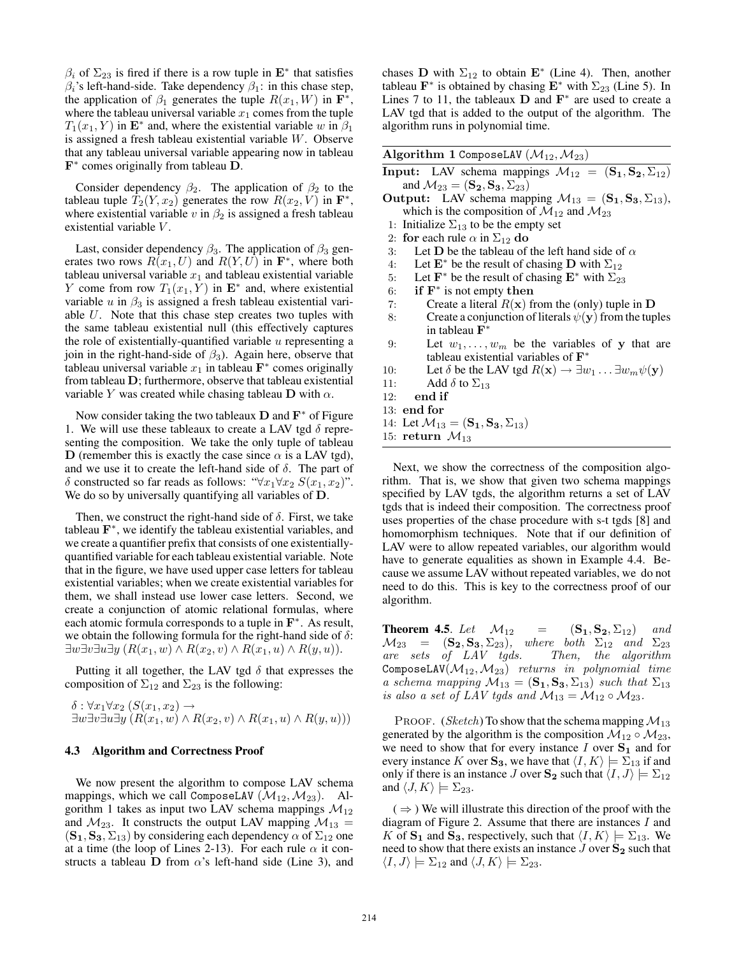$\beta_i$  of  $\Sigma_{23}$  is fired if there is a row tuple in  $\mathbf{E}^*$  that satisfies  $\beta_i$ 's left-hand-side. Take dependency  $\beta_1$ : in this chase step, the application of  $\beta_1$  generates the tuple  $R(x_1, W)$  in  $\mathbf{F}^*$ , where the tableau universal variable  $x_1$  comes from the tuple  $T_1(x_1, Y)$  in  $\mathbf{E}^*$  and, where the existential variable w in  $\beta_1$ is assigned a fresh tableau existential variable W. Observe that any tableau universal variable appearing now in tableau  $$ 

Consider dependency  $\beta_2$ . The application of  $\beta_2$  to the tableau tuple  $\hat{T}_2(Y, x_2)$  generates the row  $R(x_2, V)$  in  $\mathbf{F}^*$ , where existential variable v in  $\beta_2$  is assigned a fresh tableau existential variable V .

Last, consider dependency  $\beta_3$ . The application of  $\beta_3$  generates two rows  $R(x_1, U)$  and  $R(Y, U)$  in  $\mathbf{F}^*$ , where both tableau universal variable  $x_1$  and tableau existential variable Y come from row  $T_1(x_1, Y)$  in  $\mathbf{E}^*$  and, where existential variable u in  $\beta_3$  is assigned a fresh tableau existential variable U. Note that this chase step creates two tuples with the same tableau existential null (this effectively captures the role of existentially-quantified variable  $u$  representing a join in the right-hand-side of  $\beta_3$ ). Again here, observe that tableau universal variable  $x_1$  in tableau  $\mathbf{F}^*$  comes originally from tableau D; furthermore, observe that tableau existential variable Y was created while chasing tableau D with  $\alpha$ .

Now consider taking the two tableaux  **and**  $**F**<sup>*</sup>$  **of Figure** 1. We will use these tableaux to create a LAV tgd  $\delta$  representing the composition. We take the only tuple of tableau D (remember this is exactly the case since  $\alpha$  is a LAV tgd), and we use it to create the left-hand side of  $\delta$ . The part of δ constructed so far reads as follows: " $\forall x_1 \forall x_2 S(x_1, x_2)$ ". We do so by universally quantifying all variables of **D**.

Then, we construct the right-hand side of  $\delta$ . First, we take tableau F ∗ , we identify the tableau existential variables, and we create a quantifier prefix that consists of one existentiallyquantified variable for each tableau existential variable. Note that in the figure, we have used upper case letters for tableau existential variables; when we create existential variables for them, we shall instead use lower case letters. Second, we create a conjunction of atomic relational formulas, where each atomic formula corresponds to a tuple in  $\mathbf{F}^*$ . As result, we obtain the following formula for the right-hand side of  $\delta$ : ∃w∃v∃u∃y  $(R(x_1, w) \wedge R(x_2, v) \wedge R(x_1, u) \wedge R(y, u)).$ 

Putting it all together, the LAV tgd  $\delta$  that expresses the composition of  $\Sigma_{12}$  and  $\Sigma_{23}$  is the following:

 $\delta$  :  $\forall x_1 \forall x_2 \ (S(x_1, x_2) \rightarrow$  $\exists w \exists v \exists u \exists y \ (R(x_1, w) \land R(x_2, v) \land R(x_1, u) \land R(y, u)))$ 

#### 4.3 Algorithm and Correctness Proof

We now present the algorithm to compose LAV schema mappings, which we call ComposeLAV  $(\mathcal{M}_{12}, \mathcal{M}_{23})$ . Algorithm 1 takes as input two LAV schema mappings  $\mathcal{M}_{12}$ and  $M_{23}$ . It constructs the output LAV mapping  $M_{13} =$  $(\mathbf{S}_1, \mathbf{S}_3, \Sigma_{13})$  by considering each dependency  $\alpha$  of  $\Sigma_{12}$  one at a time (the loop of Lines 2-13). For each rule  $\alpha$  it constructs a tableau **D** from  $\alpha$ 's left-hand side (Line 3), and

chases **D** with  $\Sigma_{12}$  to obtain  $\mathbf{E}^*$  (Line 4). Then, another tableau  $\mathbf{F}^*$  is obtained by chasing  $\mathbf{E}^*$  with  $\Sigma_{23}$  (Line 5). In Lines 7 to 11, the tableaux  $\bf{D}$  and  $\bf{F}^*$  are used to create a LAV tgd that is added to the output of the algorithm. The algorithm runs in polynomial time.

| Algorithm 1 ComposeLAV $(\mathcal{M}_{12}, \mathcal{M}_{23})$                                         |
|-------------------------------------------------------------------------------------------------------|
| <b>Input:</b> LAV schema mappings $M_{12} = (\mathbf{S_1}, \mathbf{S_2}, \Sigma_{12})$                |
| and $\mathcal{M}_{23} = (\mathbf{S}_2, \mathbf{S}_3, \Sigma_{23})$                                    |
| <b>Output:</b> LAV schema mapping $M_{13} = (\mathbf{S}_1, \mathbf{S}_3, \Sigma_{13}),$               |
| which is the composition of $\mathcal{M}_{12}$ and $\mathcal{M}_{23}$                                 |
| 1: Initialize $\Sigma_{13}$ to be the empty set                                                       |
| 2: for each rule $\alpha$ in $\Sigma_{12}$ do                                                         |
| Let D be the tableau of the left hand side of $\alpha$<br>3:                                          |
| 4: Let $\mathbf{E}^*$ be the result of chasing <b>D</b> with $\Sigma_{12}$                            |
| 5: Let $\mathbf{F}^*$ be the result of chasing $\mathbf{E}^*$ with $\Sigma_{23}$                      |
| if $F^*$ is not empty then<br>6:                                                                      |
| Create a literal $R(x)$ from the (only) tuple in D<br>7:                                              |
| Create a conjunction of literals $\psi(\mathbf{y})$ from the tuples<br>8:                             |
| in tableau $\mathbf{F}^*$                                                                             |
| Let $w_1, \ldots, w_m$ be the variables of y that are<br>9:                                           |
| tableau existential variables of $F^*$                                                                |
| Let $\delta$ be the LAV tgd $R(\mathbf{x}) \to \exists w_1 \dots \exists w_m \psi(\mathbf{y})$<br>10: |
| Add $\delta$ to $\Sigma_{13}$<br>11:                                                                  |
| end if<br>12:                                                                                         |
| $13:$ end for                                                                                         |
| 14: Let $\mathcal{M}_{13} = (\mathbf{S}_1, \mathbf{S}_3, \Sigma_{13})$                                |
| 15: return $\mathcal{M}_{13}$                                                                         |
|                                                                                                       |

Next, we show the correctness of the composition algorithm. That is, we show that given two schema mappings specified by LAV tgds, the algorithm returns a set of LAV tgds that is indeed their composition. The correctness proof uses properties of the chase procedure with s-t tgds [8] and homomorphism techniques. Note that if our definition of LAV were to allow repeated variables, our algorithm would have to generate equalities as shown in Example 4.4. Because we assume LAV without repeated variables, we do not need to do this. This is key to the correctness proof of our algorithm.

**Theorem 4.5.** Let  $\mathcal{M}_{12}$  =  $(\mathbf{S}_1, \mathbf{S}_2, \Sigma_{12})$  and  $M_{23}$  =  $(S_2, S_3, \Sigma_{23})$ , where both  $\Sigma_{12}$  and  $\Sigma_{23}$ are sets of LAV tgds. Then, the algorithm ComposeLAV $(\mathcal{M}_{12},\mathcal{M}_{23})$  returns in polynomial time a schema mapping  $\mathcal{M}_{13} = (\mathbf{S_1}, \mathbf{S_3}, \Sigma_{13})$  such that  $\Sigma_{13}$ is also a set of LAV tgds and  $\mathcal{M}_{13} = \mathcal{M}_{12} \circ \mathcal{M}_{23}$ .

PROOF. (Sketch) To show that the schema mapping  $\mathcal{M}_{13}$ generated by the algorithm is the composition  $\mathcal{M}_{12} \circ \mathcal{M}_{23}$ , we need to show that for every instance  $I$  over  $S_1$  and for every instance K over  $S_3$ , we have that  $\langle I, K \rangle \models \Sigma_{13}$  if and only if there is an instance J over  $S_2$  such that  $\langle I, J \rangle \models \Sigma_{12}$ and  $\langle J, K \rangle \models \Sigma_{23}$ .

 $( \Rightarrow )$  We will illustrate this direction of the proof with the diagram of Figure 2. Assume that there are instances I and K of  $S_1$  and  $S_3$ , respectively, such that  $\langle I, K \rangle \models \Sigma_{13}$ . We need to show that there exists an instance  $J$  over  $S_2$  such that  $\langle I, J \rangle \models \Sigma_{12}$  and  $\langle J, K \rangle \models \Sigma_{23}$ .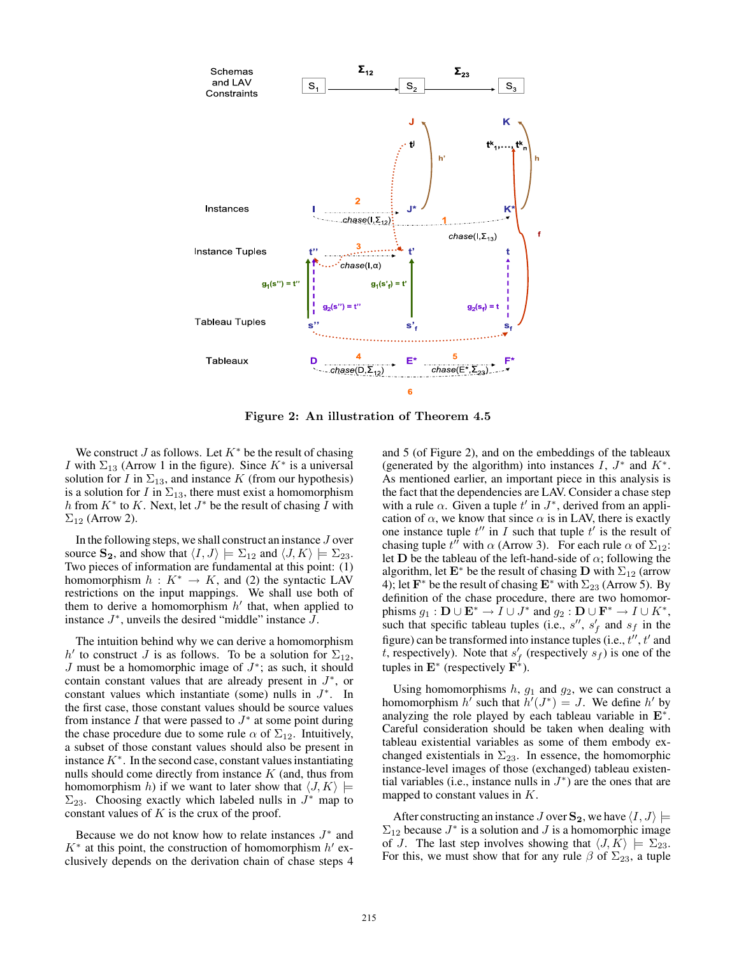

Figure 2: An illustration of Theorem 4.5

We construct J as follows. Let  $K^*$  be the result of chasing *I* with  $\Sigma_{13}$  (Arrow 1 in the figure). Since  $K^*$  is a universal solution for I in  $\Sigma_{13}$ , and instance K (from our hypothesis) is a solution for I in  $\Sigma_{13}$ , there must exist a homomorphism h from  $K^*$  to K. Next, let  $J^*$  be the result of chasing  $\overline{I}$  with  $\Sigma_{12}$  (Arrow 2).

In the following steps, we shall construct an instance J over source  $\mathbf{S_2}$ , and show that  $\langle I, J \rangle \models \Sigma_{12}$  and  $\langle J, K \rangle \models \Sigma_{23}$ . Two pieces of information are fundamental at this point: (1) homomorphism  $h: K^* \to K$ , and (2) the syntactic LAV restrictions on the input mappings. We shall use both of them to derive a homomorphism  $h'$  that, when applied to instance  $J^*$ , unveils the desired "middle" instance  $J$ .

The intuition behind why we can derive a homomorphism h' to construct J is as follows. To be a solution for  $\Sigma_{12}$ ,  $J$  must be a homomorphic image of  $J^*$ ; as such, it should contain constant values that are already present in  $J^*$ , or constant values which instantiate (some) nulls in  $J^*$ . In the first case, those constant values should be source values from instance  $I$  that were passed to  $J^*$  at some point during the chase procedure due to some rule  $\alpha$  of  $\Sigma_{12}$ . Intuitively, a subset of those constant values should also be present in instance  $K^*$ . In the second case, constant values instantiating nulls should come directly from instance  $K$  (and, thus from homomorphism h) if we want to later show that  $\langle J, K \rangle \models$  $\Sigma_{23}$ . Choosing exactly which labeled nulls in  $J^*$  map to constant values of  $K$  is the crux of the proof.

Because we do not know how to relate instances  $J^*$  and  $K^*$  at this point, the construction of homomorphism  $h'$  exclusively depends on the derivation chain of chase steps 4 and 5 (of Figure 2), and on the embeddings of the tableaux (generated by the algorithm) into instances  $I, J^*$  and  $K^*$ . As mentioned earlier, an important piece in this analysis is the fact that the dependencies are LAV. Consider a chase step with a rule  $\alpha$ . Given a tuple t' in  $J^*$ , derived from an application of  $\alpha$ , we know that since  $\alpha$  is in LAV, there is exactly one instance tuple  $t''$  in I such that tuple  $t'$  is the result of chasing tuple  $t^{i\tilde{\jmath}}$  with  $\alpha$  (Arrow 3). For each rule  $\alpha$  of  $\Sigma_{12}$ : let D be the tableau of the left-hand-side of  $\alpha$ ; following the algorithm, let  $\mathbf{E}^*$  be the result of chasing D with  $\Sigma_{12}$  (arrow 4); let  $\mathbf{F}^*$  be the result of chasing  $\mathbf{E}^*$  with  $\Sigma_{23}$  (Arrow 5). By definition of the chase procedure, there are two homomorphisms  $g_1 : \mathbf{D} \cup \mathbf{E}^* \to I \cup J^*$  and  $g_2 : \mathbf{D} \cup \mathbf{F}^* \to I \cup K^*$ , such that specific tableau tuples (i.e.,  $s''$ ,  $s'_f$  and  $s_f$  in the figure) can be transformed into instance tuples (i.e.,  $t''$ ,  $t'$  and t, respectively). Note that  $s'_{f}$  (respectively  $s_{f}$ ) is one of the tuples in  $\mathbf{E}^*$  (respectively  $\mathbf{F}^*$ ).

Using homomorphisms  $h$ ,  $g_1$  and  $g_2$ , we can construct a homomorphism h' such that  $h'(J^*) = J$ . We define h' by analyzing the role played by each tableau variable in  $E^*$ . Careful consideration should be taken when dealing with tableau existential variables as some of them embody exchanged existentials in  $\Sigma_{23}$ . In essence, the homomorphic instance-level images of those (exchanged) tableau existential variables (i.e., instance nulls in  $J^*$ ) are the ones that are mapped to constant values in  $K$ .

After constructing an instance J over  $\mathbf{S}_2$ , we have  $\langle I, J \rangle \models$  $\Sigma_{12}$  because  $J^*$  is a solution and  $J$  is a homomorphic image of J. The last step involves showing that  $\langle J, K \rangle \models \Sigma_{23}$ . For this, we must show that for any rule  $\beta$  of  $\Sigma_{23}$ , a tuple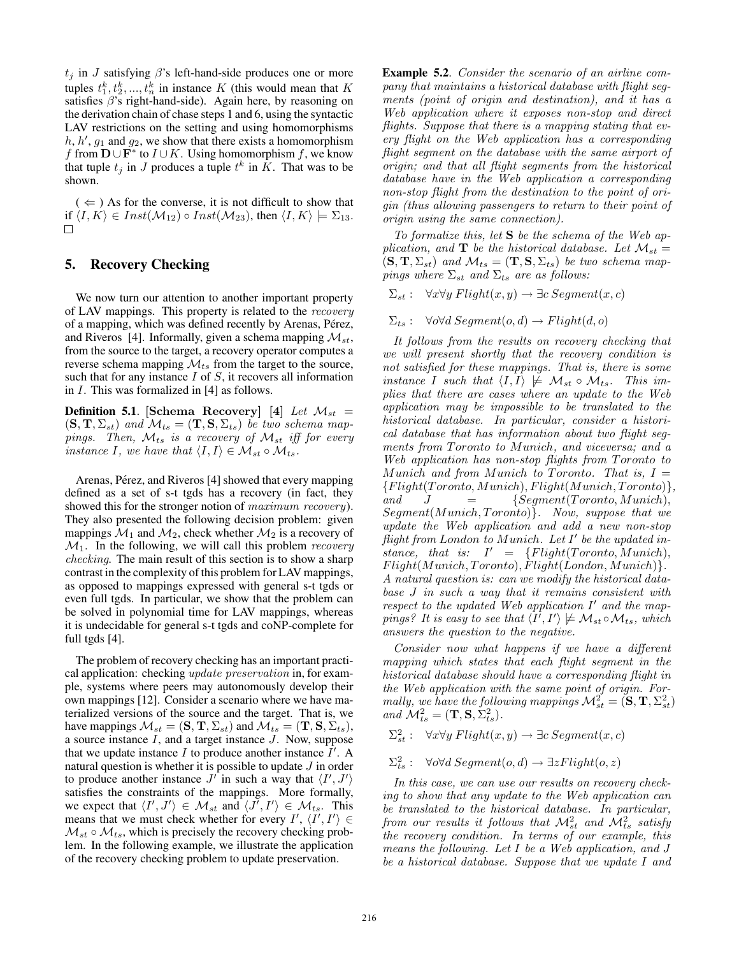$t_j$  in J satisfying  $\beta$ 's left-hand-side produces one or more tuples  $t_1^k, t_2^k, ..., t_n^k$  in instance K (this would mean that K satisfies  $\beta$ 's right-hand-side). Again here, by reasoning on the derivation chain of chase steps 1 and 6, using the syntactic LAV restrictions on the setting and using homomorphisms  $h, h', g_1$  and  $g_2$ , we show that there exists a homomorphism f from  $\mathbf{D} \cup \mathbf{F}^*$  to  $I \cup K$ . Using homomorphism f, we know that tuple  $t_j$  in J produces a tuple  $t^k$  in  $\tilde{K}$ . That was to be shown.

 $($   $\Leftarrow$   $)$  As for the converse, it is not difficult to show that if  $\langle I, K \rangle \in Inst(\mathcal{M}_{12}) \circ Inst(\mathcal{M}_{23})$ , then  $\langle I, K \rangle \models \Sigma_{13}$ .  $\Box$ 

### 5. Recovery Checking

We now turn our attention to another important property of LAV mappings. This property is related to the recovery of a mapping, which was defined recently by Arenas, Pérez, and Riveros [4]. Informally, given a schema mapping  $\mathcal{M}_{st}$ , from the source to the target, a recovery operator computes a reverse schema mapping  $\mathcal{M}_{ts}$  from the target to the source, such that for any instance  $I$  of  $S$ , it recovers all information in I. This was formalized in [4] as follows.

**Definition 5.1.** [Schema Recovery] [4] Let  $\mathcal{M}_{st}$  =  $(\mathbf{S}, \mathbf{T}, \Sigma_{st})$  and  $\mathcal{M}_{ts} = (\mathbf{T}, \mathbf{S}, \Sigma_{ts})$  be two schema mappings. Then,  $\mathcal{M}_{ts}$  is a recovery of  $\mathcal{M}_{st}$  iff for every instance I, we have that  $\langle I, I \rangle \in \mathcal{M}_{st} \circ \mathcal{M}_{ts}$ .

Arenas, Pérez, and Riveros [4] showed that every mapping defined as a set of s-t tgds has a recovery (in fact, they showed this for the stronger notion of *maximum recovery*). They also presented the following decision problem: given mappings  $\mathcal{M}_1$  and  $\mathcal{M}_2$ , check whether  $\mathcal{M}_2$  is a recovery of  $\mathcal{M}_1$ . In the following, we will call this problem *recovery* checking. The main result of this section is to show a sharp contrast in the complexity of this problem for LAV mappings, as opposed to mappings expressed with general s-t tgds or even full tgds. In particular, we show that the problem can be solved in polynomial time for LAV mappings, whereas it is undecidable for general s-t tgds and coNP-complete for full tgds [4].

The problem of recovery checking has an important practical application: checking update preservation in, for example, systems where peers may autonomously develop their own mappings [12]. Consider a scenario where we have materialized versions of the source and the target. That is, we have mappings  $\mathcal{M}_{st} = (\mathbf{S}, \mathbf{T}, \Sigma_{st})$  and  $\mathcal{M}_{ts} = (\mathbf{T}, \mathbf{S}, \Sigma_{ts}),$ a source instance I, and a target instance J. Now, suppose that we update instance I to produce another instance  $\hat{I}'$ . A natural question is whether it is possible to update  $J$  in order to produce another instance  $J'$  in such a way that  $\langle I', J' \rangle$ satisfies the constraints of the mappings. More formally, we expect that  $\langle I', J' \rangle \in \mathcal{M}_{st}$  and  $\langle J', I' \rangle \in \mathcal{M}_{ts}$ . This means that we must check whether for every  $I'$ ,  $\langle I', I' \rangle \in$  $\mathcal{M}_{st} \circ \mathcal{M}_{ts}$ , which is precisely the recovery checking problem. In the following example, we illustrate the application of the recovery checking problem to update preservation.

Example 5.2. Consider the scenario of an airline company that maintains a historical database with flight segments (point of origin and destination), and it has a Web application where it exposes non-stop and direct flights. Suppose that there is a mapping stating that every flight on the Web application has a corresponding flight segment on the database with the same airport of origin; and that all flight segments from the historical database have in the Web application a corresponding non-stop flight from the destination to the point of origin (thus allowing passengers to return to their point of origin using the same connection).

To formalize this, let  $S$  be the schema of the Web application, and **T** be the historical database. Let  $\mathcal{M}_{st} =$  $(\mathbf{S}, \mathbf{T}, \Sigma_{st})$  and  $\mathcal{M}_{ts} = (\mathbf{T}, \mathbf{S}, \Sigma_{ts})$  be two schema mappings where  $\Sigma_{st}$  and  $\Sigma_{ts}$  are as follows:

 $\Sigma_{st}$ :  $\forall x \forall y \; Flight(x, y) \rightarrow \exists c \; Segment(x, c)$ 

 $\Sigma_{ts}$ :  $\forall o \forall d$  Segment $(o, d) \rightarrow Flight(d, o)$ 

It follows from the results on recovery checking that we will present shortly that the recovery condition is not satisfied for these mappings. That is, there is some instance I such that  $\langle I, I \rangle \not\models \mathcal{M}_{st} \circ \mathcal{M}_{ts}$ . This implies that there are cases where an update to the Web application may be impossible to be translated to the historical database. In particular, consider a historical database that has information about two flight segments from Toronto to Munich, and viceversa; and a Web application has non-stop flights from Toronto to Munich and from Munich to Toronto. That is,  $I =$  ${Flight(Toronto, Munich), Flight(Munich, Toronto)}$ , and  $J = \{Segment(Toronto, Munich),$  $Segment(Munich, Toronto)$ . Now, suppose that we update the Web application and add a new non-stop  ${\it flight from London}$  to Munich. Let  $I'$  be the updated instance, that is:  $I' = \{Flight(Toronto, Munich),\}$  $Flight(Munich, Toronto),$  $Flight(London, Munich)$ . A natural question is: can we modify the historical database J in such a way that it remains consistent with respect to the updated Web application  $I'$  and the mappings? It is easy to see that  $\langle I',I'\rangle \not\models \mathcal{M}_{st} \circ \mathcal{M}_{ts}$ , which answers the question to the negative.

Consider now what happens if we have a different mapping which states that each flight segment in the historical database should have a corresponding flight in the Web application with the same point of origin. Formally, we have the following mappings  $\mathcal{M}_{st}^2 = (\mathbf{S}, \mathbf{T}, \Sigma_{st}^2)$ and  $\mathcal{M}_{ts}^2 = (\mathbf{T}, \mathbf{S}, \Sigma_{ts}^2)$ .

 $\Sigma_{st}^2$ :  $\forall x \forall y \; Flight(x, y) \rightarrow \exists c \; Segment(x, c)$ 

 $\Sigma_{ts}^2$ :  $\forall o \forall d$  Segment $(o, d) \rightarrow \exists z Flight(o, z)$ 

In this case, we can use our results on recovery checking to show that any update to the Web application can be translated to the historical database. In particular, from our results it follows that  $\mathcal{M}_{st}^2$  and  $\mathcal{\bar{M}}_{ts}^2$  satisfy the recovery condition. In terms of our example, this means the following. Let I be a Web application, and J be a historical database. Suppose that we update I and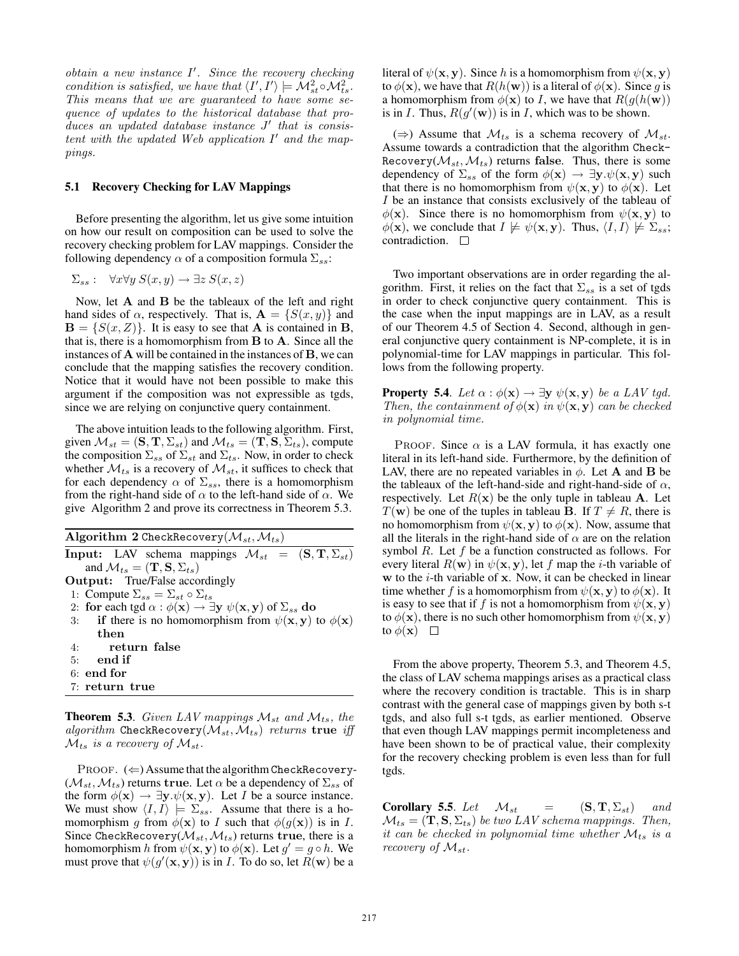$obtain$  a new instance  $I'$ . Since the recovery checking condition is satisfied, we have that  $\langle I',I'\rangle \models \mathcal{M}_{st}^2 \circ \mathcal{M}_{ts}^2$ . This means that we are guaranteed to have some sequence of updates to the historical database that pro $duces an updated database instance J' that is consist$ tent with the updated Web application  $I'$  and the mappings.

### 5.1 Recovery Checking for LAV Mappings

Before presenting the algorithm, let us give some intuition on how our result on composition can be used to solve the recovery checking problem for LAV mappings. Consider the following dependency  $\alpha$  of a composition formula  $\Sigma_{ss}$ :

$$
\Sigma_{ss}: \quad \forall x \forall y \ S(x,y) \rightarrow \exists z \ S(x,z)
$$

Now, let  $A$  and  $B$  be the tableaux of the left and right hand sides of  $\alpha$ , respectively. That is,  $\mathbf{A} = \{S(x, y)\}\$ and  $\mathbf{B} = \{S(x, Z)\}\.$  It is easy to see that **A** is contained in **B**, that is, there is a homomorphism from B to A. Since all the instances of A will be contained in the instances of B, we can conclude that the mapping satisfies the recovery condition. Notice that it would have not been possible to make this argument if the composition was not expressible as tgds, since we are relying on conjunctive query containment.

The above intuition leads to the following algorithm. First, given  $\mathcal{M}_{st} = (\mathbf{S}, \mathbf{T}, \Sigma_{st})$  and  $\mathcal{M}_{ts} = (\mathbf{T}, \mathbf{S}, \Sigma_{ts})$ , compute the composition  $\Sigma_{ss}$  of  $\Sigma_{st}$  and  $\Sigma_{ts}$ . Now, in order to check whether  $\mathcal{M}_{ts}$  is a recovery of  $\mathcal{M}_{st}$ , it suffices to check that for each dependency  $\alpha$  of  $\Sigma_{ss}$ , there is a homomorphism from the right-hand side of  $\alpha$  to the left-hand side of  $\alpha$ . We give Algorithm 2 and prove its correctness in Theorem 5.3.

Algorithm 2 CheckRecovery $(\mathcal{M}_{st},\mathcal{M}_{ts})$ Input: LAV schema mappings  $\mathcal{M}_{st} = (\mathbf{S}, \mathbf{T}, \Sigma_{st})$ and  $\mathcal{M}_{ts} = (\mathbf{T}, \mathbf{S}, \Sigma_{ts})$ Output: True/False accordingly 1: Compute  $\Sigma_{ss} = \Sigma_{st} \circ \Sigma_{ts}$ 2: for each tgd  $\alpha$  :  $\phi(\mathbf{x}) \to \exists \mathbf{y} \ \psi(\mathbf{x}, \mathbf{y})$  of  $\Sigma_{ss}$  do 3: if there is no homomorphism from  $\psi(\mathbf{x}, \mathbf{y})$  to  $\phi(\mathbf{x})$ then 4: return false 5: end if 6: end for 7: return true

**Theorem 5.3.** Given LAV mappings  $\mathcal{M}_{st}$  and  $\mathcal{M}_{ts}$ , the algorithm CheckRecovery( $\mathcal{M}_{st}, \mathcal{M}_{ts}$ ) returns true iff  $\mathcal{M}_{ts}$  is a recovery of  $\mathcal{M}_{st}$ .

PROOF.  $(\Leftarrow)$  Assume that the algorithm CheckRecovery- $(M_{st}, M_{ts})$  returns true. Let  $\alpha$  be a dependency of  $\Sigma_{ss}$  of the form  $\phi(\mathbf{x}) \to \exists \mathbf{y}.\psi(\mathbf{x}, \mathbf{y})$ . Let *I* be a source instance. We must show  $\langle I, I \rangle \models \Sigma_{ss}$ . Assume that there is a homomorphism g from  $\phi(\mathbf{x})$  to I such that  $\phi(g(\mathbf{x}))$  is in I. Since CheckRecovery( $\mathcal{M}_{st}, \mathcal{M}_{ts}$ ) returns true, there is a homomorphism h from  $\psi(\mathbf{x}, \mathbf{y})$  to  $\phi(\mathbf{x})$ . Let  $g' = g \circ h$ . We must prove that  $\psi(g'(\mathbf{x}, \mathbf{y}))$  is in *I*. To do so, let  $\tilde{R}(\mathbf{w})$  be a

literal of  $\psi(\mathbf{x}, \mathbf{y})$ . Since h is a homomorphism from  $\psi(\mathbf{x}, \mathbf{y})$ to  $\phi(\mathbf{x})$ , we have that  $R(h(\mathbf{w}))$  is a literal of  $\phi(\mathbf{x})$ . Since g is a homomorphism from  $\phi(\mathbf{x})$  to *I*, we have that  $R(g(h(\mathbf{w}))$ is in I. Thus,  $R(g'(\mathbf{w}))$  is in I, which was to be shown.

(⇒) Assume that  $\mathcal{M}_{ts}$  is a schema recovery of  $\mathcal{M}_{st}$ . Assume towards a contradiction that the algorithm Check-Recovery( $\mathcal{M}_{st}, \mathcal{M}_{ts}$ ) returns false. Thus, there is some dependency of  $\Sigma_{ss}$  of the form  $\phi(\mathbf{x}) \to \exists \mathbf{y}.\psi(\mathbf{x}, \mathbf{y})$  such that there is no homomorphism from  $\psi(\mathbf{x}, \mathbf{y})$  to  $\phi(\mathbf{x})$ . Let I be an instance that consists exclusively of the tableau of  $\phi(\mathbf{x})$ . Since there is no homomorphism from  $\psi(\mathbf{x}, \mathbf{y})$  to  $\phi(\mathbf{x})$ , we conclude that  $I \not\models \psi(\mathbf{x}, \mathbf{y})$ . Thus,  $\langle I, I \rangle \not\models \Sigma_{ss};$ contradiction.  $\square$ 

Two important observations are in order regarding the algorithm. First, it relies on the fact that  $\Sigma_{ss}$  is a set of tgds in order to check conjunctive query containment. This is the case when the input mappings are in LAV, as a result of our Theorem 4.5 of Section 4. Second, although in general conjunctive query containment is NP-complete, it is in polynomial-time for LAV mappings in particular. This follows from the following property.

**Property 5.4.** Let  $\alpha : \phi(\mathbf{x}) \to \exists \mathbf{y} \ \psi(\mathbf{x}, \mathbf{y})$  be a LAV tgd. Then, the containment of  $\phi(\mathbf{x})$  in  $\psi(\mathbf{x}, \mathbf{y})$  can be checked in polynomial time.

PROOF. Since  $\alpha$  is a LAV formula, it has exactly one literal in its left-hand side. Furthermore, by the definition of LAV, there are no repeated variables in  $\phi$ . Let **A** and **B** be the tableaux of the left-hand-side and right-hand-side of  $\alpha$ , respectively. Let  $R(x)$  be the only tuple in tableau A. Let  $T(\mathbf{w})$  be one of the tuples in tableau B. If  $T \neq R$ , there is no homomorphism from  $\psi(\mathbf{x}, \mathbf{y})$  to  $\phi(\mathbf{x})$ . Now, assume that all the literals in the right-hand side of  $\alpha$  are on the relation symbol R. Let f be a function constructed as follows. For every literal  $R(\mathbf{w})$  in  $\psi(\mathbf{x}, \mathbf{y})$ , let f map the *i*-th variable of  $w$  to the  $i$ -th variable of  $x$ . Now, it can be checked in linear time whether f is a homomorphism from  $\psi(\mathbf{x}, \mathbf{y})$  to  $\phi(\mathbf{x})$ . It is easy to see that if f is not a homomorphism from  $\psi(\mathbf{x}, \mathbf{y})$ to  $\phi(\mathbf{x})$ , there is no such other homomorphism from  $\psi(\mathbf{x}, \mathbf{y})$ to  $\phi(\mathbf{x})$   $\Box$ 

From the above property, Theorem 5.3, and Theorem 4.5, the class of LAV schema mappings arises as a practical class where the recovery condition is tractable. This is in sharp contrast with the general case of mappings given by both s-t tgds, and also full s-t tgds, as earlier mentioned. Observe that even though LAV mappings permit incompleteness and have been shown to be of practical value, their complexity for the recovery checking problem is even less than for full tgds.

**Corollary 5.5.** Let  $\mathcal{M}_{st}$  =  $(S, T, \Sigma_{st})$  and  $\mathcal{M}_{ts} = (\mathbf{T}, \mathbf{S}, \Sigma_{ts})$  be two LAV schema mappings. Then, it can be checked in polynomial time whether  $\mathcal{M}_{ts}$  is a recovery of  $\mathcal{M}_{st}$ .